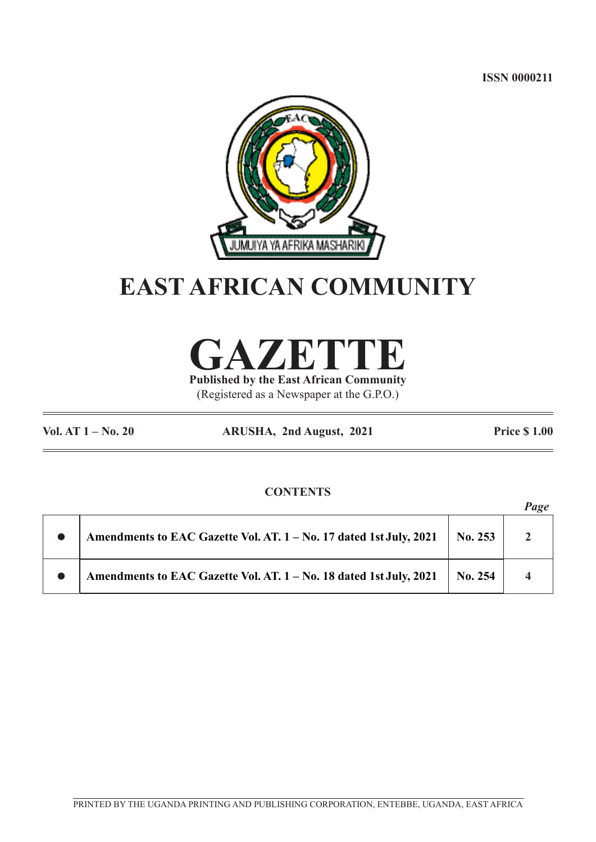**ISSN 0000211**



# **EAST AFRICAN COMMUNITY**



**Published by the East African Community** (Registered as a Newspaper at the G.P.O.)

**Vol. AT 1 – No. 20 ARUSHA, 2nd August, 2021 Price \$ 1.00**

# **CONTENTS**

|                                                                    |         | Page |
|--------------------------------------------------------------------|---------|------|
| Amendments to EAC Gazette Vol. AT. 1 - No. 17 dated 1st July, 2021 | No. 253 |      |
| Amendments to EAC Gazette Vol. AT. 1 - No. 18 dated 1st July, 2021 | No. 254 |      |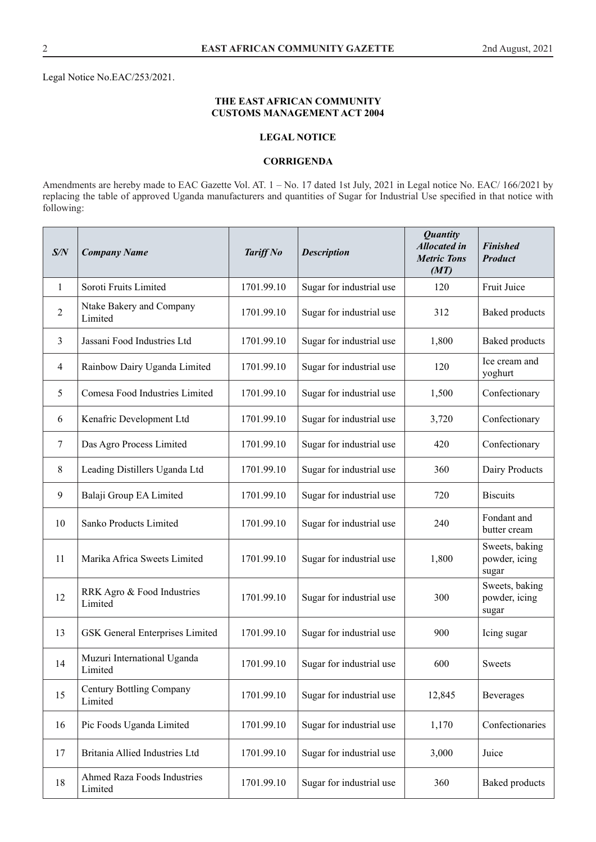Legal Notice No.EAC/253/2021.

## **THE EAST AFRICAN COMMUNITY CUSTOMS MANAGEMENT ACT 2004**

## **LEGAL NOTICE**

### **CORRIGENDA**

Amendments are hereby made to EAC Gazette Vol. AT. 1 – No. 17 dated 1st July, 2021 in Legal notice No. EAC/ 166/2021 by replacing the table of approved Uganda manufacturers and quantities of Sugar for Industrial Use specified in that notice with following:

| S/N            | <b>Company Name</b>                        | <b>Tariff No</b> | <b>Description</b>       | <b>Quantity</b><br><b>Allocated in</b><br><b>Metric Tons</b><br>(MT) | <b>Finished</b><br><b>Product</b>        |
|----------------|--------------------------------------------|------------------|--------------------------|----------------------------------------------------------------------|------------------------------------------|
| 1              | Soroti Fruits Limited                      | 1701.99.10       | Sugar for industrial use | 120                                                                  | Fruit Juice                              |
| $\overline{2}$ | Ntake Bakery and Company<br>Limited        | 1701.99.10       | Sugar for industrial use | 312                                                                  | <b>Baked</b> products                    |
| 3              | Jassani Food Industries Ltd                | 1701.99.10       | Sugar for industrial use | 1,800                                                                | <b>Baked</b> products                    |
| $\overline{4}$ | Rainbow Dairy Uganda Limited               | 1701.99.10       | Sugar for industrial use | 120                                                                  | Ice cream and<br>yoghurt                 |
| 5              | Comesa Food Industries Limited             | 1701.99.10       | Sugar for industrial use | 1,500                                                                | Confectionary                            |
| 6              | Kenafric Development Ltd                   | 1701.99.10       | Sugar for industrial use | 3,720                                                                | Confectionary                            |
| 7              | Das Agro Process Limited                   | 1701.99.10       | Sugar for industrial use | 420                                                                  | Confectionary                            |
| 8              | Leading Distillers Uganda Ltd              | 1701.99.10       | Sugar for industrial use | 360                                                                  | Dairy Products                           |
| 9              | Balaji Group EA Limited                    | 1701.99.10       | Sugar for industrial use | 720                                                                  | <b>Biscuits</b>                          |
| 10             | Sanko Products Limited                     | 1701.99.10       | Sugar for industrial use | 240                                                                  | Fondant and<br>butter cream              |
| 11             | Marika Africa Sweets Limited               | 1701.99.10       | Sugar for industrial use | 1,800                                                                | Sweets, baking<br>powder, icing<br>sugar |
| 12             | RRK Agro & Food Industries<br>Limited      | 1701.99.10       | Sugar for industrial use | 300                                                                  | Sweets, baking<br>powder, icing<br>sugar |
| 13             | <b>GSK</b> General Enterprises Limited     | 1701.99.10       | Sugar for industrial use | 900                                                                  | Icing sugar                              |
| 14             | Muzuri International Uganda<br>Limited     | 1701.99.10       | Sugar for industrial use | 600                                                                  | Sweets                                   |
| 15             | <b>Century Bottling Company</b><br>Limited | 1701.99.10       | Sugar for industrial use | 12,845                                                               | Beverages                                |
| 16             | Pic Foods Uganda Limited                   | 1701.99.10       | Sugar for industrial use | 1,170                                                                | Confectionaries                          |
| 17             | Britania Allied Industries Ltd             | 1701.99.10       | Sugar for industrial use | 3,000                                                                | Juice                                    |
| 18             | Ahmed Raza Foods Industries<br>Limited     | 1701.99.10       | Sugar for industrial use | 360                                                                  | <b>Baked</b> products                    |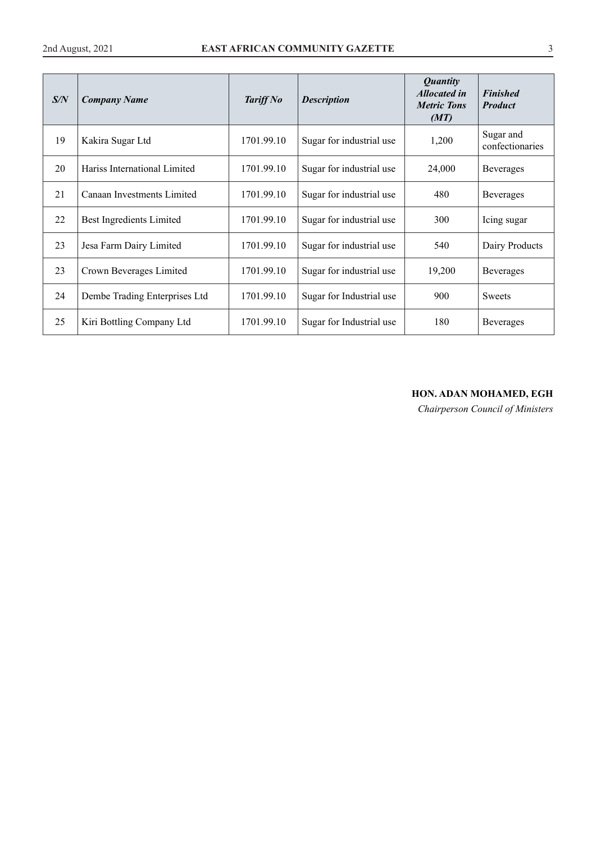| S/N | <b>Company Name</b>           | Tariff No  | <b>Description</b>       | <b>Quantity</b><br><b>Allocated in</b><br><b>Metric Tons</b><br>(MT) | <b>Finished</b><br><b>Product</b> |
|-----|-------------------------------|------------|--------------------------|----------------------------------------------------------------------|-----------------------------------|
| 19  | Kakira Sugar Ltd              | 1701.99.10 | Sugar for industrial use | 1,200                                                                | Sugar and<br>confectionaries      |
| 20  | Hariss International Limited  | 1701.99.10 | Sugar for industrial use | 24,000                                                               | Beverages                         |
| 21  | Canaan Investments Limited    | 1701.99.10 | Sugar for industrial use | 480                                                                  | <b>Beverages</b>                  |
| 22  | Best Ingredients Limited      | 1701.99.10 | Sugar for industrial use | 300                                                                  | Icing sugar                       |
| 23  | Jesa Farm Dairy Limited       | 1701.99.10 | Sugar for industrial use | 540                                                                  | Dairy Products                    |
| 23  | Crown Beverages Limited       | 1701.99.10 | Sugar for industrial use | 19,200                                                               | <b>Beverages</b>                  |
| 24  | Dembe Trading Enterprises Ltd | 1701.99.10 | Sugar for Industrial use | 900                                                                  | <b>Sweets</b>                     |
| 25  | Kiri Bottling Company Ltd     | 1701.99.10 | Sugar for Industrial use | 180                                                                  | Beverages                         |

# **HON. ADAN MOHAMED, EGH**

*Chairperson Council of Ministers*